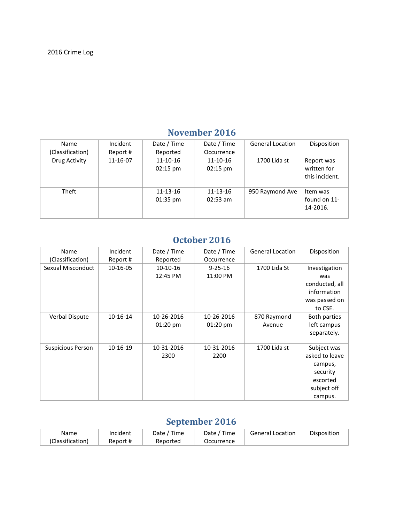| Name<br>(Classification) | Incident<br>Report # | Date / Time<br>Reported              | Date / Time<br>Occurrence            | <b>General Location</b> | Disposition                                 |
|--------------------------|----------------------|--------------------------------------|--------------------------------------|-------------------------|---------------------------------------------|
| Drug Activity            | 11-16-07             | $11 - 10 - 16$<br>$02:15 \text{ pm}$ | $11 - 10 - 16$<br>$02:15 \text{ pm}$ | 1700 Lida st            | Report was<br>written for<br>this incident. |
| Theft                    |                      | 11-13-16<br>$01:35 \text{ pm}$       | 11-13-16<br>$02:53$ am               | 950 Raymond Ave         | Item was<br>found on 11-<br>14-2016.        |

### **November 2016**

### **October 2016**

| Name              | Incident | Date / Time        | Date / Time        | <b>General Location</b> | Disposition    |
|-------------------|----------|--------------------|--------------------|-------------------------|----------------|
| (Classification)  | Report # | Reported           | Occurrence         |                         |                |
| Sexual Misconduct | 10-16-05 | $10-10-16$         | $9 - 25 - 16$      | 1700 Lida St            | Investigation  |
|                   |          | 12:45 PM           | 11:00 PM           |                         | was            |
|                   |          |                    |                    |                         | conducted, all |
|                   |          |                    |                    |                         | information    |
|                   |          |                    |                    |                         | was passed on  |
|                   |          |                    |                    |                         | to CSE.        |
| Verbal Dispute    | 10-16-14 | 10-26-2016         | 10-26-2016         | 870 Raymond             | Both parties   |
|                   |          | $01:20 \text{ pm}$ | $01:20 \text{ pm}$ | Avenue                  | left campus    |
|                   |          |                    |                    |                         | separately.    |
|                   |          |                    |                    |                         |                |
| Suspicious Person | 10-16-19 | 10-31-2016         | 10-31-2016         | 1700 Lida st            | Subject was    |
|                   |          | 2300               | 2200               |                         | asked to leave |
|                   |          |                    |                    |                         | campus,        |
|                   |          |                    |                    |                         | security       |
|                   |          |                    |                    |                         | escorted       |
|                   |          |                    |                    |                         | subject off    |
|                   |          |                    |                    |                         | campus.        |

# **September 2016**

| Name             | Incident | ' Time<br>Date / | Time<br>Date , | <b>General Location</b> | Disposition |
|------------------|----------|------------------|----------------|-------------------------|-------------|
| (Classification) | Report # | Reported         | Occurrence     |                         |             |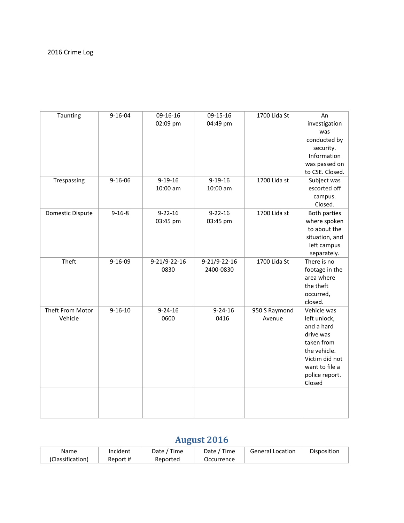| Taunting                    | $9 - 16 - 04$ | 09-16-16<br>02:09 pm      | 09-15-16<br>04:49 pm      | 1700 Lida St            | An<br>investigation<br>was<br>conducted by<br>security.<br>Information<br>was passed on<br>to CSE. Closed.                                           |
|-----------------------------|---------------|---------------------------|---------------------------|-------------------------|------------------------------------------------------------------------------------------------------------------------------------------------------|
| Trespassing                 | $9 - 16 - 06$ | $9 - 19 - 16$<br>10:00 am | $9 - 19 - 16$<br>10:00 am | 1700 Lida st            | Subject was<br>escorted off<br>campus.<br>Closed.                                                                                                    |
| <b>Domestic Dispute</b>     | $9 - 16 - 8$  | $9 - 22 - 16$<br>03:45 pm | $9 - 22 - 16$<br>03:45 pm | 1700 Lida st            | <b>Both parties</b><br>where spoken<br>to about the<br>situation, and<br>left campus<br>separately.                                                  |
| Theft                       | $9 - 16 - 09$ | 9-21/9-22-16<br>0830      | 9-21/9-22-16<br>2400-0830 | 1700 Lida St            | There is no<br>footage in the<br>area where<br>the theft<br>occurred,<br>closed.                                                                     |
| Theft From Motor<br>Vehicle | $9 - 16 - 10$ | $9 - 24 - 16$<br>0600     | $9 - 24 - 16$<br>0416     | 950 S Raymond<br>Avenue | Vehicle was<br>left unlock,<br>and a hard<br>drive was<br>taken from<br>the vehicle.<br>Victim did not<br>want to file a<br>police report.<br>Closed |
|                             |               |                           |                           |                         |                                                                                                                                                      |

# **August 2016**

| Name             | Incident | Time<br>Date / | Time<br>Date | <b>General Location</b> | Disposition |
|------------------|----------|----------------|--------------|-------------------------|-------------|
| (Classification) | Report # | Reported       | Occurrence   |                         |             |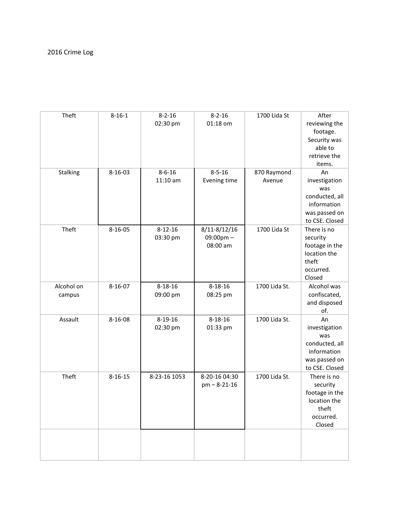| Theft                | $8 - 16 - 1$  | $8 - 2 - 16$<br>02:30 pm   | $8 - 2 - 16$<br>01:18 om                   | 1700 Lida St          | After<br>reviewing the<br>footage.<br>Security was<br>able to<br>retrieve the<br>items.        |
|----------------------|---------------|----------------------------|--------------------------------------------|-----------------------|------------------------------------------------------------------------------------------------|
| Stalking             | 8-16-03       | $8 - 6 - 16$<br>$11:10$ am | $8 - 5 - 16$<br>Evening time               | 870 Raymond<br>Avenue | An<br>investigation<br>was<br>conducted, all<br>information<br>was passed on<br>to CSE. Closed |
| Theft                | $8 - 16 - 05$ | $8 - 12 - 16$<br>03:30 pm  | 8/11-8/12/16<br>$09:00$ pm $-$<br>08:00 am | 1700 Lida St          | There is no<br>security<br>footage in the<br>location the<br>theft<br>occurred.<br>Closed      |
| Alcohol on<br>campus | $8 - 16 - 07$ | $8 - 18 - 16$<br>09:00 pm  | $8 - 18 - 16$<br>08:25 pm                  | 1700 Lida St.         | Alcohol was<br>confiscated,<br>and disposed<br>of.                                             |
| Assault              | 8-16-08       | $8 - 19 - 16$<br>02:30 pm  | $8 - 18 - 16$<br>01:33 pm                  | 1700 Lida St.         | An<br>investigation<br>was<br>conducted, all<br>information<br>was passed on<br>to CSE. Closed |
| Theft                | $8 - 16 - 15$ | 8-23-16 1053               | 8-20-16 04:30<br>$pm - 8 - 21 - 16$        | 1700 Lida St.         | There is no<br>security<br>footage in the<br>location the<br>theft<br>occurred.<br>Closed      |
|                      |               |                            |                                            |                       |                                                                                                |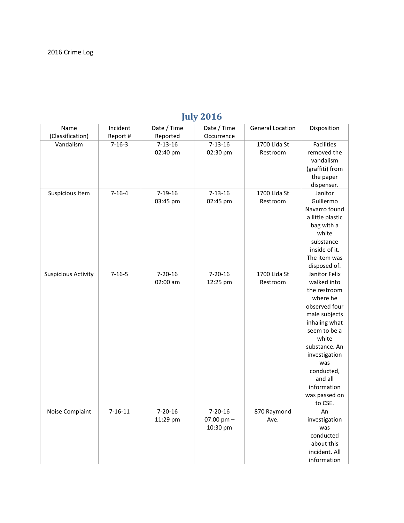| Name<br>(Classification)   | Incident<br>Report # | Date / Time<br>Reported   | Date / Time<br>Occurrence                 | <b>General Location</b>  | Disposition                                                                                                                                                                                                                                       |
|----------------------------|----------------------|---------------------------|-------------------------------------------|--------------------------|---------------------------------------------------------------------------------------------------------------------------------------------------------------------------------------------------------------------------------------------------|
| Vandalism                  | $7 - 16 - 3$         | $7 - 13 - 16$<br>02:40 pm | $7 - 13 - 16$<br>02:30 pm                 | 1700 Lida St<br>Restroom | <b>Facilities</b><br>removed the<br>vandalism<br>(graffiti) from<br>the paper<br>dispenser.                                                                                                                                                       |
| Suspicious Item            | $7 - 16 - 4$         | $7 - 19 - 16$<br>03:45 pm | $7 - 13 - 16$<br>02:45 pm                 | 1700 Lida St<br>Restroom | Janitor<br>Guillermo<br>Navarro found<br>a little plastic<br>bag with a<br>white<br>substance<br>inside of it.<br>The item was<br>disposed of.                                                                                                    |
| <b>Suspicious Activity</b> | $7 - 16 - 5$         | $7 - 20 - 16$<br>02:00 am | $7 - 20 - 16$<br>12:25 pm                 | 1700 Lida St<br>Restroom | Janitor Felix<br>walked into<br>the restroom<br>where he<br>observed four<br>male subjects<br>inhaling what<br>seem to be a<br>white<br>substance. An<br>investigation<br>was<br>conducted,<br>and all<br>information<br>was passed on<br>to CSE. |
| Noise Complaint            | $7 - 16 - 11$        | $7 - 20 - 16$<br>11:29 pm | $7 - 20 - 16$<br>07:00 pm $-$<br>10:30 pm | 870 Raymond<br>Ave.      | An<br>investigation<br>was<br>conducted<br>about this<br>incident. All<br>information                                                                                                                                                             |

## **July 2016**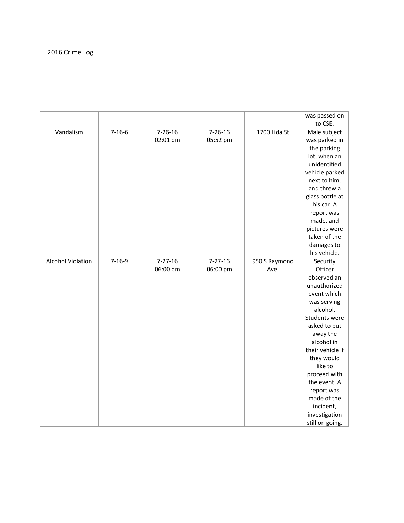|                          |              |               |               |               | was passed on                 |
|--------------------------|--------------|---------------|---------------|---------------|-------------------------------|
| Vandalism                | $7 - 16 - 6$ | $7 - 26 - 16$ | $7 - 26 - 16$ | 1700 Lida St  | to CSE.                       |
|                          |              | 02:01 pm      | 05:52 pm      |               | Male subject<br>was parked in |
|                          |              |               |               |               | the parking                   |
|                          |              |               |               |               | lot, when an                  |
|                          |              |               |               |               | unidentified                  |
|                          |              |               |               |               | vehicle parked                |
|                          |              |               |               |               | next to him,                  |
|                          |              |               |               |               | and threw a                   |
|                          |              |               |               |               | glass bottle at               |
|                          |              |               |               |               | his car. A                    |
|                          |              |               |               |               | report was                    |
|                          |              |               |               |               | made, and                     |
|                          |              |               |               |               | pictures were                 |
|                          |              |               |               |               | taken of the                  |
|                          |              |               |               |               | damages to                    |
|                          |              |               |               |               | his vehicle.                  |
| <b>Alcohol Violation</b> | $7 - 16 - 9$ | $7 - 27 - 16$ | $7 - 27 - 16$ | 950 S Raymond | Security                      |
|                          |              | 06:00 pm      | 06:00 pm      | Ave.          | Officer                       |
|                          |              |               |               |               | observed an                   |
|                          |              |               |               |               | unauthorized                  |
|                          |              |               |               |               | event which                   |
|                          |              |               |               |               | was serving                   |
|                          |              |               |               |               | alcohol.                      |
|                          |              |               |               |               | Students were                 |
|                          |              |               |               |               | asked to put                  |
|                          |              |               |               |               | away the                      |
|                          |              |               |               |               | alcohol in                    |
|                          |              |               |               |               | their vehicle if              |
|                          |              |               |               |               | they would                    |
|                          |              |               |               |               | like to                       |
|                          |              |               |               |               | proceed with                  |
|                          |              |               |               |               | the event. A                  |
|                          |              |               |               |               | report was                    |
|                          |              |               |               |               | made of the                   |
|                          |              |               |               |               | incident,                     |
|                          |              |               |               |               | investigation                 |
|                          |              |               |               |               | still on going.               |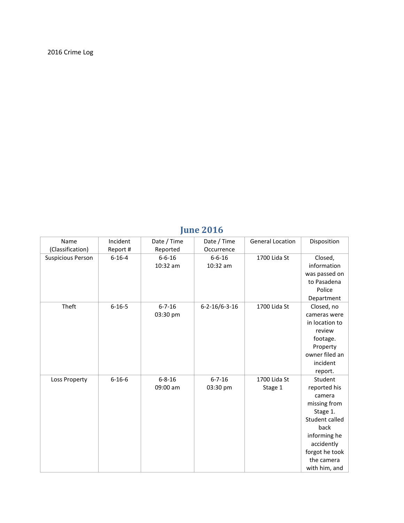### **June 2016**

| Name                     | Incident     | Date / Time  | Date / Time             | <b>General Location</b> | Disposition    |
|--------------------------|--------------|--------------|-------------------------|-------------------------|----------------|
| (Classification)         | Report #     | Reported     | Occurrence              |                         |                |
| <b>Suspicious Person</b> | $6 - 16 - 4$ | $6 - 6 - 16$ | $6 - 6 - 16$            | 1700 Lida St            | Closed,        |
|                          |              | 10:32 am     | 10:32 am                |                         | information    |
|                          |              |              |                         |                         | was passed on  |
|                          |              |              |                         |                         | to Pasadena    |
|                          |              |              |                         |                         | Police         |
|                          |              |              |                         |                         | Department     |
| Theft                    | $6 - 16 - 5$ | $6 - 7 - 16$ | $6 - 2 - 16/6 - 3 - 16$ | 1700 Lida St            | Closed, no     |
|                          |              | 03:30 pm     |                         |                         | cameras were   |
|                          |              |              |                         |                         | in location to |
|                          |              |              |                         |                         | review         |
|                          |              |              |                         |                         | footage.       |
|                          |              |              |                         |                         | Property       |
|                          |              |              |                         |                         | owner filed an |
|                          |              |              |                         |                         | incident       |
|                          |              |              |                         |                         | report.        |
| Loss Property            | $6 - 16 - 6$ | $6 - 8 - 16$ | $6 - 7 - 16$            | 1700 Lida St            | Student        |
|                          |              | 09:00 am     | 03:30 pm                | Stage 1                 | reported his   |
|                          |              |              |                         |                         | camera         |
|                          |              |              |                         |                         | missing from   |
|                          |              |              |                         |                         | Stage 1.       |
|                          |              |              |                         |                         | Student called |
|                          |              |              |                         |                         | back           |
|                          |              |              |                         |                         | informing he   |
|                          |              |              |                         |                         | accidently     |
|                          |              |              |                         |                         | forgot he took |
|                          |              |              |                         |                         | the camera     |
|                          |              |              |                         |                         | with him, and  |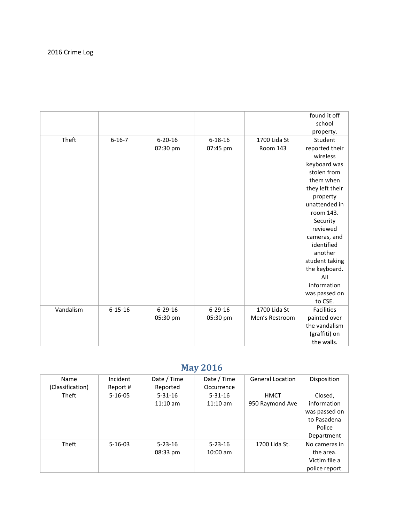|           |               |               |               |                 | found it off      |
|-----------|---------------|---------------|---------------|-----------------|-------------------|
|           |               |               |               |                 | school            |
|           |               |               |               |                 | property.         |
| Theft     | $6 - 16 - 7$  | $6 - 20 - 16$ | $6 - 18 - 16$ | 1700 Lida St    | Student           |
|           |               | 02:30 pm      | 07:45 pm      | <b>Room 143</b> | reported their    |
|           |               |               |               |                 | wireless          |
|           |               |               |               |                 | keyboard was      |
|           |               |               |               |                 | stolen from       |
|           |               |               |               |                 | them when         |
|           |               |               |               |                 | they left their   |
|           |               |               |               |                 | property          |
|           |               |               |               |                 | unattended in     |
|           |               |               |               |                 | room 143.         |
|           |               |               |               |                 | Security          |
|           |               |               |               |                 | reviewed          |
|           |               |               |               |                 | cameras, and      |
|           |               |               |               |                 | identified        |
|           |               |               |               |                 | another           |
|           |               |               |               |                 | student taking    |
|           |               |               |               |                 | the keyboard.     |
|           |               |               |               |                 | All               |
|           |               |               |               |                 | information       |
|           |               |               |               |                 | was passed on     |
|           |               |               |               |                 | to CSE.           |
| Vandalism | $6 - 15 - 16$ | $6 - 29 - 16$ | $6 - 29 - 16$ | 1700 Lida St    | <b>Facilities</b> |
|           |               | 05:30 pm      | 05:30 pm      | Men's Restroom  | painted over      |
|           |               |               |               |                 | the vandalism     |
|           |               |               |               |                 | (graffiti) on     |
|           |               |               |               |                 | the walls.        |

# **May 2016**

| Name             | Incident      | Date / Time   | Date / Time   | <b>General Location</b> | Disposition    |
|------------------|---------------|---------------|---------------|-------------------------|----------------|
| (Classification) | Report #      | Reported      | Occurrence    |                         |                |
| Theft            | $5 - 16 - 05$ | $5 - 31 - 16$ | $5 - 31 - 16$ | HMCT                    | Closed,        |
|                  |               | $11:10$ am    | $11:10$ am    | 950 Raymond Ave         | information    |
|                  |               |               |               |                         | was passed on  |
|                  |               |               |               |                         | to Pasadena    |
|                  |               |               |               |                         | Police         |
|                  |               |               |               |                         | Department     |
| Theft            | $5 - 16 - 03$ | $5 - 23 - 16$ | $5 - 23 - 16$ | 1700 Lida St.           | No cameras in  |
|                  |               | 08:33 pm      | $10:00$ am    |                         | the area.      |
|                  |               |               |               |                         | Victim file a  |
|                  |               |               |               |                         | police report. |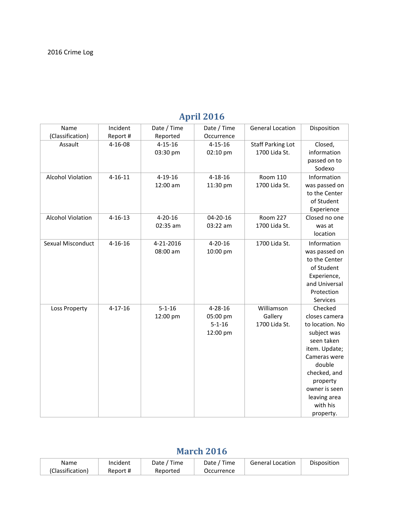| Name                     | Incident      | Date / Time   | Date / Time   | <b>General Location</b>  | Disposition     |
|--------------------------|---------------|---------------|---------------|--------------------------|-----------------|
| (Classification)         | Report #      | Reported      | Occurrence    |                          |                 |
| Assault                  | $4 - 16 - 08$ | $4 - 15 - 16$ | $4 - 15 - 16$ | <b>Staff Parking Lot</b> | Closed,         |
|                          |               | 03:30 pm      | 02:10 pm      | 1700 Lida St.            | information     |
|                          |               |               |               |                          | passed on to    |
|                          |               |               |               |                          | Sodexo          |
| <b>Alcohol Violation</b> | $4 - 16 - 11$ | $4 - 19 - 16$ | $4 - 18 - 16$ | <b>Room 110</b>          | Information     |
|                          |               | 12:00 am      | 11:30 pm      | 1700 Lida St.            | was passed on   |
|                          |               |               |               |                          | to the Center   |
|                          |               |               |               |                          | of Student      |
|                          |               |               |               |                          | Experience      |
| <b>Alcohol Violation</b> | $4 - 16 - 13$ | $4 - 20 - 16$ | 04-20-16      | <b>Room 227</b>          | Closed no one   |
|                          |               | 02:35 am      | 03:22 am      | 1700 Lida St.            | was at          |
|                          |               |               |               |                          | location        |
| Sexual Misconduct        | $4 - 16 - 16$ | 4-21-2016     | $4 - 20 - 16$ | 1700 Lida St.            | Information     |
|                          |               | 08:00 am      | 10:00 pm      |                          | was passed on   |
|                          |               |               |               |                          | to the Center   |
|                          |               |               |               |                          | of Student      |
|                          |               |               |               |                          | Experience,     |
|                          |               |               |               |                          | and Universal   |
|                          |               |               |               |                          | Protection      |
|                          |               |               |               |                          | Services        |
| Loss Property            | $4 - 17 - 16$ | $5 - 1 - 16$  | $4 - 28 - 16$ | Williamson               | Checked         |
|                          |               | 12:00 pm      | 05:00 pm      | Gallery                  | closes camera   |
|                          |               |               | $5 - 1 - 16$  | 1700 Lida St.            | to location. No |
|                          |               |               | 12:00 pm      |                          | subject was     |
|                          |               |               |               |                          | seen taken      |
|                          |               |               |               |                          | item. Update;   |
|                          |               |               |               |                          | Cameras were    |
|                          |               |               |               |                          | double          |
|                          |               |               |               |                          | checked, and    |
|                          |               |               |               |                          | property        |
|                          |               |               |               |                          | owner is seen   |
|                          |               |               |               |                          | leaving area    |
|                          |               |               |               |                          | with his        |
|                          |               |               |               |                          | property.       |

# **April 2016**

#### **March 2016**

| Name             | Incident | Date /<br>Time | ' Time<br>Date / | <b>General Location</b> | Disposition |
|------------------|----------|----------------|------------------|-------------------------|-------------|
| (Classification) | Report # | Reported       | Occurrence       |                         |             |